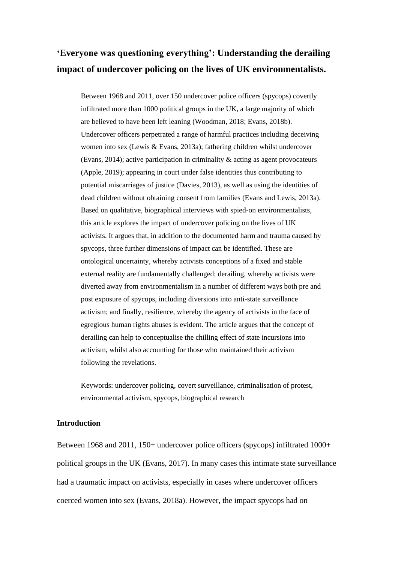# **'Everyone was questioning everything': Understanding the derailing impact of undercover policing on the lives of UK environmentalists.**

Between 1968 and 2011, over 150 undercover police officers (spycops) covertly infiltrated more than 1000 political groups in the UK, a large majority of which are believed to have been left leaning (Woodman, 2018; Evans, 2018b). Undercover officers perpetrated a range of harmful practices including deceiving women into sex (Lewis & Evans, 2013a); fathering children whilst undercover (Evans, 2014); active participation in criminality & acting as agent provocateurs (Apple, 2019); appearing in court under false identities thus contributing to potential miscarriages of justice (Davies, 2013), as well as using the identities of dead children without obtaining consent from families (Evans and Lewis, 2013a). Based on qualitative, biographical interviews with spied-on environmentalists, this article explores the impact of undercover policing on the lives of UK activists. It argues that, in addition to the documented harm and trauma caused by spycops, three further dimensions of impact can be identified. These are ontological uncertainty, whereby activists conceptions of a fixed and stable external reality are fundamentally challenged; derailing, whereby activists were diverted away from environmentalism in a number of different ways both pre and post exposure of spycops, including diversions into anti-state surveillance activism; and finally, resilience, whereby the agency of activists in the face of egregious human rights abuses is evident. The article argues that the concept of derailing can help to conceptualise the chilling effect of state incursions into activism, whilst also accounting for those who maintained their activism following the revelations.

Keywords: undercover policing, covert surveillance, criminalisation of protest, environmental activism, spycops, biographical research

# **Introduction**

Between 1968 and 2011, 150+ undercover police officers (spycops) infiltrated 1000+ political groups in the UK (Evans, 2017). In many cases this intimate state surveillance had a traumatic impact on activists, especially in cases where undercover officers coerced women into sex (Evans, 2018a). However, the impact spycops had on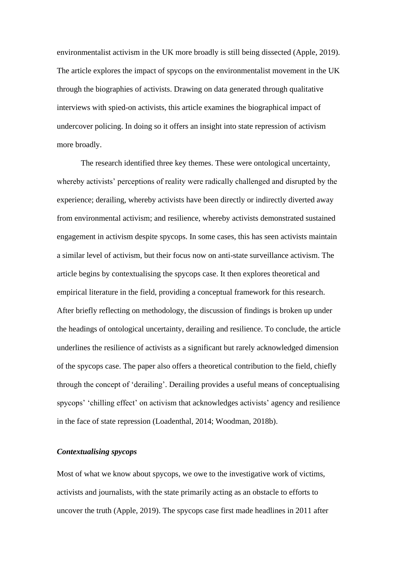environmentalist activism in the UK more broadly is still being dissected (Apple, 2019). The article explores the impact of spycops on the environmentalist movement in the UK through the biographies of activists. Drawing on data generated through qualitative interviews with spied-on activists, this article examines the biographical impact of undercover policing. In doing so it offers an insight into state repression of activism more broadly.

The research identified three key themes. These were ontological uncertainty, whereby activists' perceptions of reality were radically challenged and disrupted by the experience; derailing, whereby activists have been directly or indirectly diverted away from environmental activism; and resilience, whereby activists demonstrated sustained engagement in activism despite spycops. In some cases, this has seen activists maintain a similar level of activism, but their focus now on anti-state surveillance activism. The article begins by contextualising the spycops case. It then explores theoretical and empirical literature in the field, providing a conceptual framework for this research. After briefly reflecting on methodology, the discussion of findings is broken up under the headings of ontological uncertainty, derailing and resilience. To conclude, the article underlines the resilience of activists as a significant but rarely acknowledged dimension of the spycops case. The paper also offers a theoretical contribution to the field, chiefly through the concept of 'derailing'. Derailing provides a useful means of conceptualising spycops' 'chilling effect' on activism that acknowledges activists' agency and resilience in the face of state repression (Loadenthal, 2014; Woodman, 2018b).

# *Contextualising spycops*

Most of what we know about spycops, we owe to the investigative work of victims, activists and journalists, with the state primarily acting as an obstacle to efforts to uncover the truth (Apple, 2019). The spycops case first made headlines in 2011 after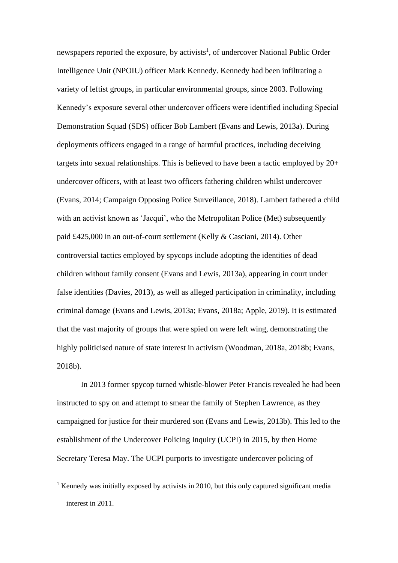newspapers reported the exposure, by activists<sup>1</sup>, of undercover National Public Order Intelligence Unit (NPOIU) officer Mark Kennedy. Kennedy had been infiltrating a variety of leftist groups, in particular environmental groups, since 2003. Following Kennedy's exposure several other undercover officers were identified including Special Demonstration Squad (SDS) officer Bob Lambert (Evans and Lewis, 2013a). During deployments officers engaged in a range of harmful practices, including deceiving targets into sexual relationships. This is believed to have been a tactic employed by 20+ undercover officers, with at least two officers fathering children whilst undercover (Evans, 2014; Campaign Opposing Police Surveillance, 2018). Lambert fathered a child with an activist known as 'Jacqui', who the Metropolitan Police (Met) subsequently paid £425,000 in an out-of-court settlement (Kelly & Casciani, 2014). Other controversial tactics employed by spycops include adopting the identities of dead children without family consent (Evans and Lewis, 2013a), appearing in court under false identities (Davies, 2013), as well as alleged participation in criminality, including criminal damage (Evans and Lewis, 2013a; Evans, 2018a; Apple, 2019). It is estimated that the vast majority of groups that were spied on were left wing, demonstrating the highly politicised nature of state interest in activism (Woodman, 2018a, 2018b; Evans, 2018b).

In 2013 former spycop turned whistle-blower Peter Francis revealed he had been instructed to spy on and attempt to smear the family of Stephen Lawrence, as they campaigned for justice for their murdered son (Evans and Lewis, 2013b). This led to the establishment of the Undercover Policing Inquiry (UCPI) in 2015, by then Home Secretary Teresa May. The UCPI purports to investigate undercover policing of

 $1$  Kennedy was initially exposed by activists in 2010, but this only captured significant media interest in 2011.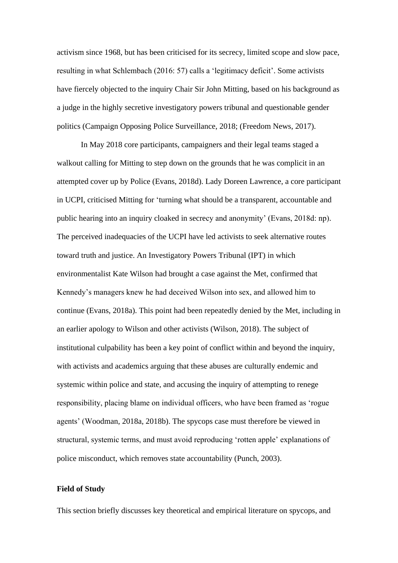activism since 1968, but has been criticised for its secrecy, limited scope and slow pace, resulting in what Schlembach (2016: 57) calls a 'legitimacy deficit'. Some activists have fiercely objected to the inquiry Chair Sir John Mitting, based on his background as a judge in the highly secretive investigatory powers tribunal and questionable gender politics (Campaign Opposing Police Surveillance, 2018; (Freedom News, 2017).

In May 2018 core participants, campaigners and their legal teams staged a walkout calling for Mitting to step down on the grounds that he was complicit in an attempted cover up by Police (Evans, 2018d). Lady Doreen Lawrence, a core participant in UCPI, criticised Mitting for 'turning what should be a transparent, accountable and public hearing into an inquiry cloaked in secrecy and anonymity' (Evans, 2018d: np). The perceived inadequacies of the UCPI have led activists to seek alternative routes toward truth and justice. An Investigatory Powers Tribunal (IPT) in which environmentalist Kate Wilson had brought a case against the Met, confirmed that Kennedy's managers knew he had deceived Wilson into sex, and allowed him to continue (Evans, 2018a). This point had been repeatedly denied by the Met, including in an earlier apology to Wilson and other activists (Wilson, 2018). The subject of institutional culpability has been a key point of conflict within and beyond the inquiry, with activists and academics arguing that these abuses are culturally endemic and systemic within police and state, and accusing the inquiry of attempting to renege responsibility, placing blame on individual officers, who have been framed as 'rogue agents' (Woodman, 2018a, 2018b). The spycops case must therefore be viewed in structural, systemic terms, and must avoid reproducing 'rotten apple' explanations of police misconduct, which removes state accountability (Punch, 2003).

#### **Field of Study**

This section briefly discusses key theoretical and empirical literature on spycops, and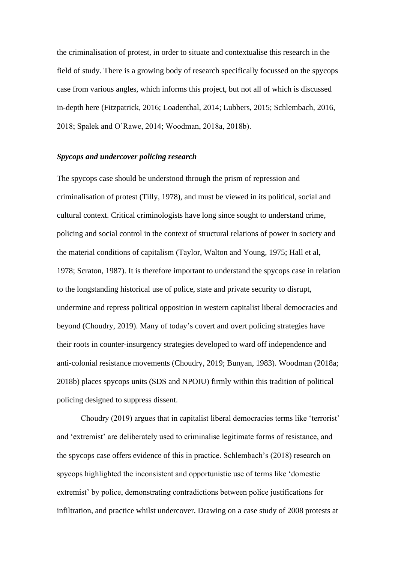the criminalisation of protest, in order to situate and contextualise this research in the field of study. There is a growing body of research specifically focussed on the spycops case from various angles, which informs this project, but not all of which is discussed in-depth here (Fitzpatrick, 2016; Loadenthal, 2014; Lubbers, 2015; Schlembach, 2016, 2018; Spalek and O'Rawe, 2014; Woodman, 2018a, 2018b).

# *Spycops and undercover policing research*

The spycops case should be understood through the prism of repression and criminalisation of protest (Tilly, 1978), and must be viewed in its political, social and cultural context. Critical criminologists have long since sought to understand crime, policing and social control in the context of structural relations of power in society and the material conditions of capitalism (Taylor, Walton and Young, 1975; Hall et al, 1978; Scraton, 1987). It is therefore important to understand the spycops case in relation to the longstanding historical use of police, state and private security to disrupt, undermine and repress political opposition in western capitalist liberal democracies and beyond (Choudry, 2019). Many of today's covert and overt policing strategies have their roots in counter-insurgency strategies developed to ward off independence and anti-colonial resistance movements (Choudry, 2019; Bunyan, 1983). Woodman (2018a; 2018b) places spycops units (SDS and NPOIU) firmly within this tradition of political policing designed to suppress dissent.

Choudry (2019) argues that in capitalist liberal democracies terms like 'terrorist' and 'extremist' are deliberately used to criminalise legitimate forms of resistance, and the spycops case offers evidence of this in practice. Schlembach's (2018) research on spycops highlighted the inconsistent and opportunistic use of terms like 'domestic extremist' by police, demonstrating contradictions between police justifications for infiltration, and practice whilst undercover. Drawing on a case study of 2008 protests at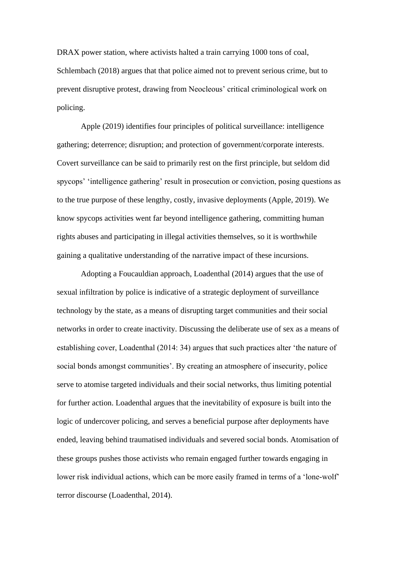DRAX power station, where activists halted a train carrying 1000 tons of coal, Schlembach (2018) argues that that police aimed not to prevent serious crime, but to prevent disruptive protest, drawing from Neocleous' critical criminological work on policing.

Apple (2019) identifies four principles of political surveillance: intelligence gathering; deterrence; disruption; and protection of government/corporate interests. Covert surveillance can be said to primarily rest on the first principle, but seldom did spycops' 'intelligence gathering' result in prosecution or conviction, posing questions as to the true purpose of these lengthy, costly, invasive deployments (Apple, 2019). We know spycops activities went far beyond intelligence gathering, committing human rights abuses and participating in illegal activities themselves, so it is worthwhile gaining a qualitative understanding of the narrative impact of these incursions.

Adopting a Foucauldian approach, Loadenthal (2014) argues that the use of sexual infiltration by police is indicative of a strategic deployment of surveillance technology by the state, as a means of disrupting target communities and their social networks in order to create inactivity. Discussing the deliberate use of sex as a means of establishing cover, Loadenthal (2014: 34) argues that such practices alter 'the nature of social bonds amongst communities'. By creating an atmosphere of insecurity, police serve to atomise targeted individuals and their social networks, thus limiting potential for further action. Loadenthal argues that the inevitability of exposure is built into the logic of undercover policing, and serves a beneficial purpose after deployments have ended, leaving behind traumatised individuals and severed social bonds. Atomisation of these groups pushes those activists who remain engaged further towards engaging in lower risk individual actions, which can be more easily framed in terms of a 'lone-wolf' terror discourse (Loadenthal, 2014).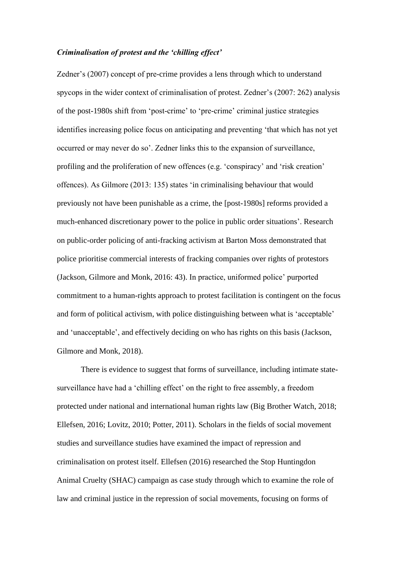## *Criminalisation of protest and the 'chilling effect'*

Zedner's (2007) concept of pre-crime provides a lens through which to understand spycops in the wider context of criminalisation of protest. Zedner's (2007: 262) analysis of the post-1980s shift from 'post-crime' to 'pre-crime' criminal justice strategies identifies increasing police focus on anticipating and preventing 'that which has not yet occurred or may never do so'. Zedner links this to the expansion of surveillance, profiling and the proliferation of new offences (e.g. 'conspiracy' and 'risk creation' offences). As Gilmore (2013: 135) states 'in criminalising behaviour that would previously not have been punishable as a crime, the [post-1980s] reforms provided a much-enhanced discretionary power to the police in public order situations'. Research on public-order policing of anti-fracking activism at Barton Moss demonstrated that police prioritise commercial interests of fracking companies over rights of protestors (Jackson, Gilmore and Monk, 2016: 43). In practice, uniformed police' purported commitment to a human-rights approach to protest facilitation is contingent on the focus and form of political activism, with police distinguishing between what is 'acceptable' and 'unacceptable', and effectively deciding on who has rights on this basis (Jackson, Gilmore and Monk, 2018).

There is evidence to suggest that forms of surveillance, including intimate statesurveillance have had a 'chilling effect' on the right to free assembly, a freedom protected under national and international human rights law (Big Brother Watch, 2018; Ellefsen, 2016; Lovitz, 2010; Potter, 2011). Scholars in the fields of social movement studies and surveillance studies have examined the impact of repression and criminalisation on protest itself. Ellefsen (2016) researched the Stop Huntingdon Animal Cruelty (SHAC) campaign as case study through which to examine the role of law and criminal justice in the repression of social movements, focusing on forms of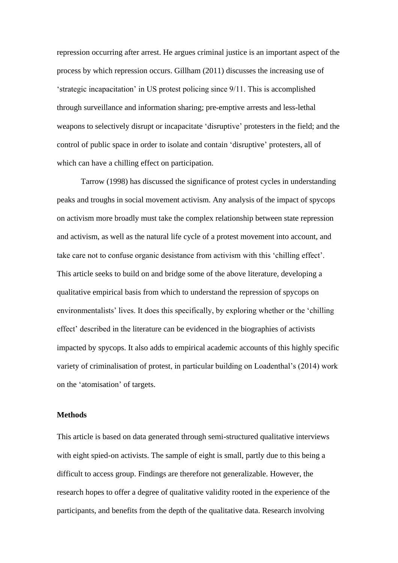repression occurring after arrest. He argues criminal justice is an important aspect of the process by which repression occurs. Gillham (2011) discusses the increasing use of 'strategic incapacitation' in US protest policing since 9/11. This is accomplished through surveillance and information sharing; pre-emptive arrests and less-lethal weapons to selectively disrupt or incapacitate 'disruptive' protesters in the field; and the control of public space in order to isolate and contain 'disruptive' protesters, all of which can have a chilling effect on participation.

Tarrow (1998) has discussed the significance of protest cycles in understanding peaks and troughs in social movement activism. Any analysis of the impact of spycops on activism more broadly must take the complex relationship between state repression and activism, as well as the natural life cycle of a protest movement into account, and take care not to confuse organic desistance from activism with this 'chilling effect'. This article seeks to build on and bridge some of the above literature, developing a qualitative empirical basis from which to understand the repression of spycops on environmentalists' lives. It does this specifically, by exploring whether or the 'chilling effect' described in the literature can be evidenced in the biographies of activists impacted by spycops. It also adds to empirical academic accounts of this highly specific variety of criminalisation of protest, in particular building on Loadenthal's (2014) work on the 'atomisation' of targets.

# **Methods**

This article is based on data generated through semi-structured qualitative interviews with eight spied-on activists. The sample of eight is small, partly due to this being a difficult to access group. Findings are therefore not generalizable. However, the research hopes to offer a degree of qualitative validity rooted in the experience of the participants, and benefits from the depth of the qualitative data. Research involving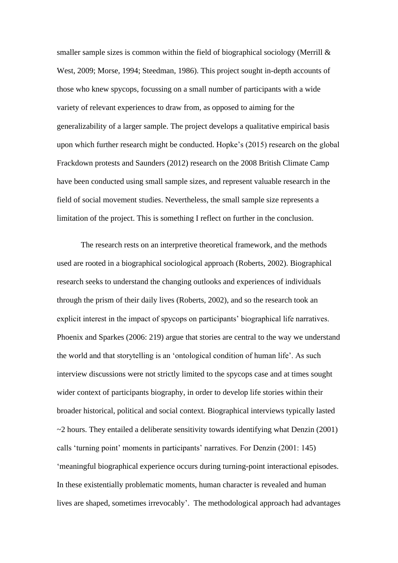smaller sample sizes is common within the field of biographical sociology (Merrill  $\&$ West, 2009; Morse, 1994; Steedman, 1986). This project sought in-depth accounts of those who knew spycops, focussing on a small number of participants with a wide variety of relevant experiences to draw from, as opposed to aiming for the generalizability of a larger sample. The project develops a qualitative empirical basis upon which further research might be conducted. Hopke's (2015) research on the global Frackdown protests and Saunders (2012) research on the 2008 British Climate Camp have been conducted using small sample sizes, and represent valuable research in the field of social movement studies. Nevertheless, the small sample size represents a limitation of the project. This is something I reflect on further in the conclusion.

The research rests on an interpretive theoretical framework, and the methods used are rooted in a biographical sociological approach (Roberts, 2002). Biographical research seeks to understand the changing outlooks and experiences of individuals through the prism of their daily lives (Roberts, 2002), and so the research took an explicit interest in the impact of spycops on participants' biographical life narratives. Phoenix and Sparkes (2006: 219) argue that stories are central to the way we understand the world and that storytelling is an 'ontological condition of human life'. As such interview discussions were not strictly limited to the spycops case and at times sought wider context of participants biography, in order to develop life stories within their broader historical, political and social context. Biographical interviews typically lasted  $\sim$ 2 hours. They entailed a deliberate sensitivity towards identifying what Denzin (2001) calls 'turning point' moments in participants' narratives. For Denzin (2001: 145) 'meaningful biographical experience occurs during turning-point interactional episodes. In these existentially problematic moments, human character is revealed and human lives are shaped, sometimes irrevocably'. The methodological approach had advantages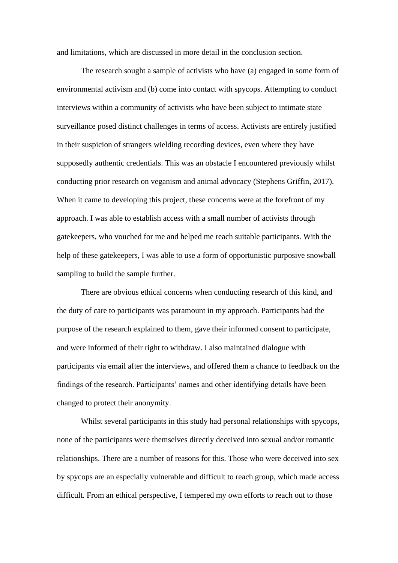and limitations, which are discussed in more detail in the conclusion section.

The research sought a sample of activists who have (a) engaged in some form of environmental activism and (b) come into contact with spycops. Attempting to conduct interviews within a community of activists who have been subject to intimate state surveillance posed distinct challenges in terms of access. Activists are entirely justified in their suspicion of strangers wielding recording devices, even where they have supposedly authentic credentials. This was an obstacle I encountered previously whilst conducting prior research on veganism and animal advocacy (Stephens Griffin, 2017). When it came to developing this project, these concerns were at the forefront of my approach. I was able to establish access with a small number of activists through gatekeepers, who vouched for me and helped me reach suitable participants. With the help of these gatekeepers, I was able to use a form of opportunistic purposive snowball sampling to build the sample further.

There are obvious ethical concerns when conducting research of this kind, and the duty of care to participants was paramount in my approach. Participants had the purpose of the research explained to them, gave their informed consent to participate, and were informed of their right to withdraw. I also maintained dialogue with participants via email after the interviews, and offered them a chance to feedback on the findings of the research. Participants' names and other identifying details have been changed to protect their anonymity.

Whilst several participants in this study had personal relationships with spycops, none of the participants were themselves directly deceived into sexual and/or romantic relationships. There are a number of reasons for this. Those who were deceived into sex by spycops are an especially vulnerable and difficult to reach group, which made access difficult. From an ethical perspective, I tempered my own efforts to reach out to those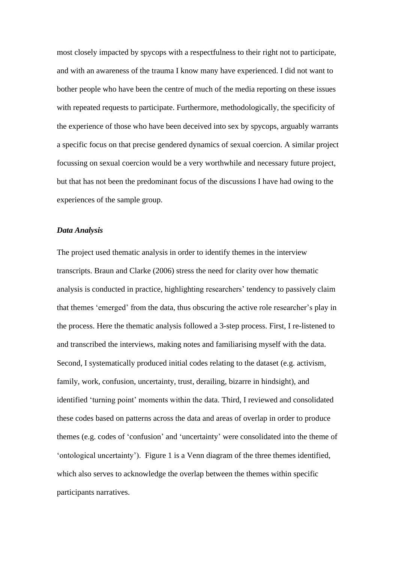most closely impacted by spycops with a respectfulness to their right not to participate, and with an awareness of the trauma I know many have experienced. I did not want to bother people who have been the centre of much of the media reporting on these issues with repeated requests to participate. Furthermore, methodologically, the specificity of the experience of those who have been deceived into sex by spycops, arguably warrants a specific focus on that precise gendered dynamics of sexual coercion. A similar project focussing on sexual coercion would be a very worthwhile and necessary future project, but that has not been the predominant focus of the discussions I have had owing to the experiences of the sample group.

#### *Data Analysis*

The project used thematic analysis in order to identify themes in the interview transcripts. Braun and Clarke (2006) stress the need for clarity over how thematic analysis is conducted in practice, highlighting researchers' tendency to passively claim that themes 'emerged' from the data, thus obscuring the active role researcher's play in the process. Here the thematic analysis followed a 3-step process. First, I re-listened to and transcribed the interviews, making notes and familiarising myself with the data. Second, I systematically produced initial codes relating to the dataset (e.g. activism, family, work, confusion, uncertainty, trust, derailing, bizarre in hindsight), and identified 'turning point' moments within the data. Third, I reviewed and consolidated these codes based on patterns across the data and areas of overlap in order to produce themes (e.g. codes of 'confusion' and 'uncertainty' were consolidated into the theme of 'ontological uncertainty'). Figure 1 is a Venn diagram of the three themes identified, which also serves to acknowledge the overlap between the themes within specific participants narratives.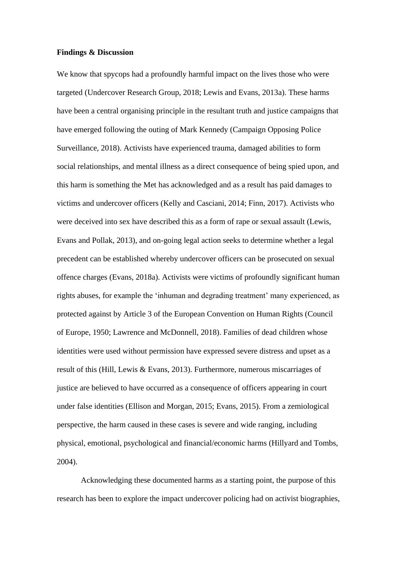#### **Findings & Discussion**

We know that spycops had a profoundly harmful impact on the lives those who were targeted (Undercover Research Group, 2018; Lewis and Evans, 2013a). These harms have been a central organising principle in the resultant truth and justice campaigns that have emerged following the outing of Mark Kennedy (Campaign Opposing Police Surveillance, 2018). Activists have experienced trauma, damaged abilities to form social relationships, and mental illness as a direct consequence of being spied upon, and this harm is something the Met has acknowledged and as a result has paid damages to victims and undercover officers (Kelly and Casciani, 2014; Finn, 2017). Activists who were deceived into sex have described this as a form of rape or sexual assault (Lewis, Evans and Pollak, 2013), and on-going legal action seeks to determine whether a legal precedent can be established whereby undercover officers can be prosecuted on sexual offence charges (Evans, 2018a). Activists were victims of profoundly significant human rights abuses, for example the 'inhuman and degrading treatment' many experienced, as protected against by Article 3 of the European Convention on Human Rights (Council of Europe, 1950; Lawrence and McDonnell, 2018). Families of dead children whose identities were used without permission have expressed severe distress and upset as a result of this (Hill, Lewis & Evans, 2013). Furthermore, numerous miscarriages of justice are believed to have occurred as a consequence of officers appearing in court under false identities (Ellison and Morgan, 2015; Evans, 2015). From a zemiological perspective, the harm caused in these cases is severe and wide ranging, including physical, emotional, psychological and financial/economic harms (Hillyard and Tombs, 2004).

Acknowledging these documented harms as a starting point, the purpose of this research has been to explore the impact undercover policing had on activist biographies,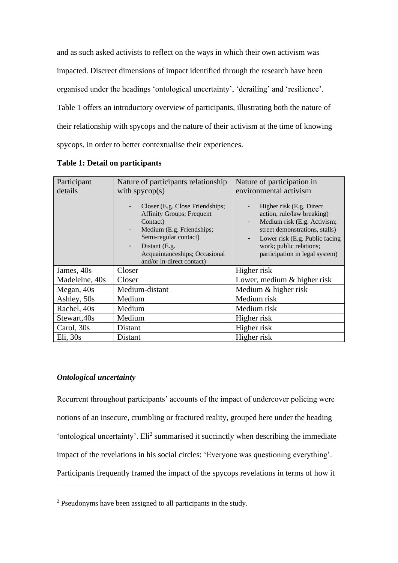and as such asked activists to reflect on the ways in which their own activism was impacted. Discreet dimensions of impact identified through the research have been organised under the headings 'ontological uncertainty', 'derailing' and 'resilience'. Table 1 offers an introductory overview of participants, illustrating both the nature of their relationship with spycops and the nature of their activism at the time of knowing spycops, in order to better contextualise their experiences.

| Participant    | Nature of participants relationship                                                                                                                                                                                        | Nature of participation in                                                                                                                                                                                                                               |
|----------------|----------------------------------------------------------------------------------------------------------------------------------------------------------------------------------------------------------------------------|----------------------------------------------------------------------------------------------------------------------------------------------------------------------------------------------------------------------------------------------------------|
| details        | with $spycop(s)$                                                                                                                                                                                                           | environmental activism                                                                                                                                                                                                                                   |
|                | Closer (E.g. Close Friendships;<br><b>Affinity Groups</b> ; Frequent<br>Contact)<br>Medium (E.g. Friendships;<br>Semi-regular contact)<br>Distant (E.g.<br>-<br>Acquaintanceships; Occasional<br>and/or in-direct contact) | Higher risk (E.g. Direct)<br>action, rule/law breaking)<br>Medium risk (E.g. Activism;<br>$\overline{\phantom{a}}$<br>street demonstrations, stalls)<br>Lower risk (E.g. Public facing<br>-<br>work; public relations;<br>participation in legal system) |
| James, 40s     | Closer                                                                                                                                                                                                                     | Higher risk                                                                                                                                                                                                                                              |
| Madeleine, 40s | Closer                                                                                                                                                                                                                     | Lower, medium & higher risk                                                                                                                                                                                                                              |
| Megan, 40s     | Medium-distant                                                                                                                                                                                                             | Medium & higher risk                                                                                                                                                                                                                                     |
| Ashley, 50s    | Medium                                                                                                                                                                                                                     | Medium risk                                                                                                                                                                                                                                              |
| Rachel, 40s    | Medium                                                                                                                                                                                                                     | Medium risk                                                                                                                                                                                                                                              |
| Stewart, 40s   | Medium                                                                                                                                                                                                                     | Higher risk                                                                                                                                                                                                                                              |
| Carol, 30s     | Distant                                                                                                                                                                                                                    | Higher risk                                                                                                                                                                                                                                              |
| Eli, 30s       | Distant                                                                                                                                                                                                                    | Higher risk                                                                                                                                                                                                                                              |

**Table 1: Detail on participants**

# *Ontological uncertainty*

Recurrent throughout participants' accounts of the impact of undercover policing were notions of an insecure, crumbling or fractured reality, grouped here under the heading 'ontological uncertainty'. Eli<sup>2</sup> summarised it succinctly when describing the immediate impact of the revelations in his social circles: 'Everyone was questioning everything'. Participants frequently framed the impact of the spycops revelations in terms of how it

<sup>&</sup>lt;sup>2</sup> Pseudonyms have been assigned to all participants in the study.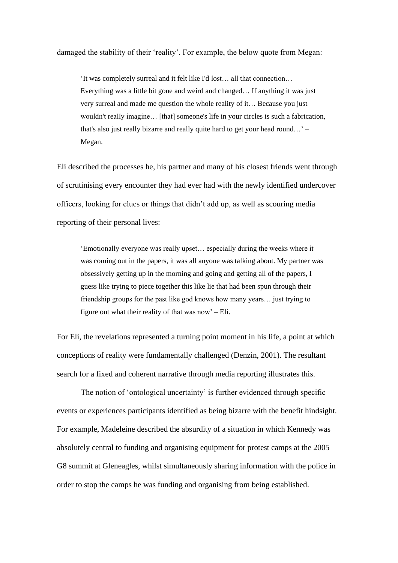damaged the stability of their 'reality'. For example, the below quote from Megan:

'It was completely surreal and it felt like I'd lost… all that connection… Everything was a little bit gone and weird and changed… If anything it was just very surreal and made me question the whole reality of it… Because you just wouldn't really imagine… [that] someone's life in your circles is such a fabrication, that's also just really bizarre and really quite hard to get your head round…' – Megan.

Eli described the processes he, his partner and many of his closest friends went through of scrutinising every encounter they had ever had with the newly identified undercover officers, looking for clues or things that didn't add up, as well as scouring media reporting of their personal lives:

'Emotionally everyone was really upset… especially during the weeks where it was coming out in the papers, it was all anyone was talking about. My partner was obsessively getting up in the morning and going and getting all of the papers, I guess like trying to piece together this like lie that had been spun through their friendship groups for the past like god knows how many years… just trying to figure out what their reality of that was now' – Eli.

For Eli, the revelations represented a turning point moment in his life, a point at which conceptions of reality were fundamentally challenged (Denzin, 2001). The resultant search for a fixed and coherent narrative through media reporting illustrates this.

The notion of 'ontological uncertainty' is further evidenced through specific events or experiences participants identified as being bizarre with the benefit hindsight. For example, Madeleine described the absurdity of a situation in which Kennedy was absolutely central to funding and organising equipment for protest camps at the 2005 G8 summit at Gleneagles, whilst simultaneously sharing information with the police in order to stop the camps he was funding and organising from being established.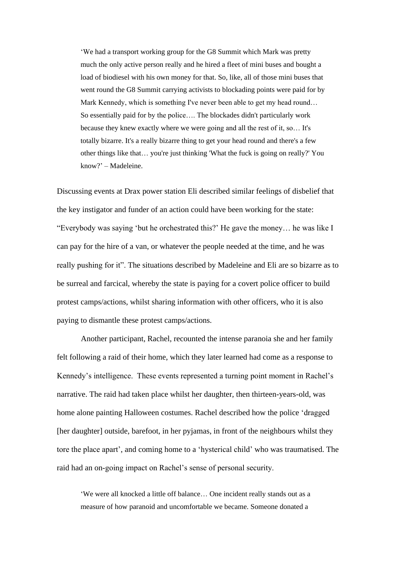'We had a transport working group for the G8 Summit which Mark was pretty much the only active person really and he hired a fleet of mini buses and bought a load of biodiesel with his own money for that. So, like, all of those mini buses that went round the G8 Summit carrying activists to blockading points were paid for by Mark Kennedy, which is something I've never been able to get my head round… So essentially paid for by the police…. The blockades didn't particularly work because they knew exactly where we were going and all the rest of it, so… It's totally bizarre. It's a really bizarre thing to get your head round and there's a few other things like that… you're just thinking 'What the fuck is going on really?' You know?' – Madeleine.

Discussing events at Drax power station Eli described similar feelings of disbelief that the key instigator and funder of an action could have been working for the state: "Everybody was saying 'but he orchestrated this?' He gave the money… he was like I can pay for the hire of a van, or whatever the people needed at the time, and he was really pushing for it". The situations described by Madeleine and Eli are so bizarre as to be surreal and farcical, whereby the state is paying for a covert police officer to build protest camps/actions, whilst sharing information with other officers, who it is also paying to dismantle these protest camps/actions.

Another participant, Rachel, recounted the intense paranoia she and her family felt following a raid of their home, which they later learned had come as a response to Kennedy's intelligence. These events represented a turning point moment in Rachel's narrative. The raid had taken place whilst her daughter, then thirteen-years-old, was home alone painting Halloween costumes. Rachel described how the police 'dragged [her daughter] outside, barefoot, in her pyjamas, in front of the neighbours whilst they tore the place apart', and coming home to a 'hysterical child' who was traumatised. The raid had an on-going impact on Rachel's sense of personal security.

'We were all knocked a little off balance… One incident really stands out as a measure of how paranoid and uncomfortable we became. Someone donated a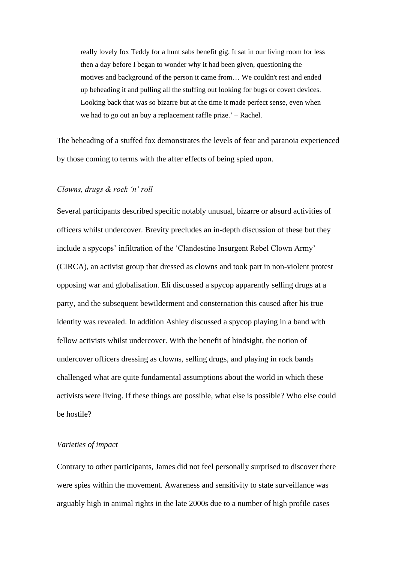really lovely fox Teddy for a hunt sabs benefit gig. It sat in our living room for less then a day before I began to wonder why it had been given, questioning the motives and background of the person it came from… We couldn't rest and ended up beheading it and pulling all the stuffing out looking for bugs or covert devices. Looking back that was so bizarre but at the time it made perfect sense, even when we had to go out an buy a replacement raffle prize.' – Rachel.

The beheading of a stuffed fox demonstrates the levels of fear and paranoia experienced by those coming to terms with the after effects of being spied upon.

#### *Clowns, drugs & rock 'n' roll*

Several participants described specific notably unusual, bizarre or absurd activities of officers whilst undercover. Brevity precludes an in-depth discussion of these but they include a spycops' infiltration of the 'Clandestine Insurgent Rebel Clown Army' (CIRCA), an activist group that dressed as clowns and took part in non-violent protest opposing war and globalisation. Eli discussed a spycop apparently selling drugs at a party, and the subsequent bewilderment and consternation this caused after his true identity was revealed. In addition Ashley discussed a spycop playing in a band with fellow activists whilst undercover. With the benefit of hindsight, the notion of undercover officers dressing as clowns, selling drugs, and playing in rock bands challenged what are quite fundamental assumptions about the world in which these activists were living. If these things are possible, what else is possible? Who else could be hostile?

# *Varieties of impact*

Contrary to other participants, James did not feel personally surprised to discover there were spies within the movement. Awareness and sensitivity to state surveillance was arguably high in animal rights in the late 2000s due to a number of high profile cases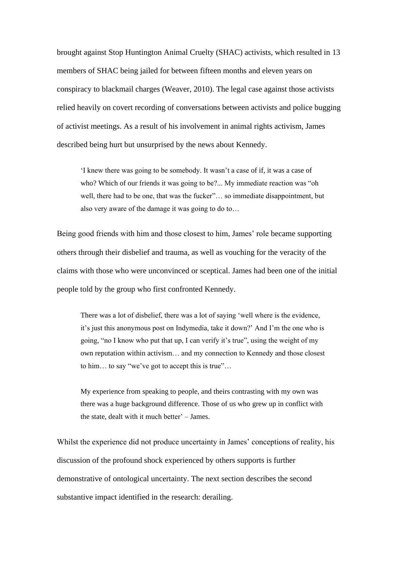brought against Stop Huntington Animal Cruelty (SHAC) activists, which resulted in 13 members of SHAC being jailed for between fifteen months and eleven years on conspiracy to blackmail charges (Weaver, 2010). The legal case against those activists relied heavily on covert recording of conversations between activists and police bugging of activist meetings. As a result of his involvement in animal rights activism, James described being hurt but unsurprised by the news about Kennedy.

'I knew there was going to be somebody. It wasn't a case of if, it was a case of who? Which of our friends it was going to be?... My immediate reaction was "oh well, there had to be one, that was the fucker"… so immediate disappointment, but also very aware of the damage it was going to do to…

Being good friends with him and those closest to him, James' role became supporting others through their disbelief and trauma, as well as vouching for the veracity of the claims with those who were unconvinced or sceptical. James had been one of the initial people told by the group who first confronted Kennedy.

There was a lot of disbelief, there was a lot of saying 'well where is the evidence, it's just this anonymous post on Indymedia, take it down?' And I'm the one who is going, "no I know who put that up, I can verify it's true", using the weight of my own reputation within activism… and my connection to Kennedy and those closest to him… to say "we've got to accept this is true"…

My experience from speaking to people, and theirs contrasting with my own was there was a huge background difference. Those of us who grew up in conflict with the state, dealt with it much better' – James.

Whilst the experience did not produce uncertainty in James' conceptions of reality, his discussion of the profound shock experienced by others supports is further demonstrative of ontological uncertainty. The next section describes the second substantive impact identified in the research: derailing.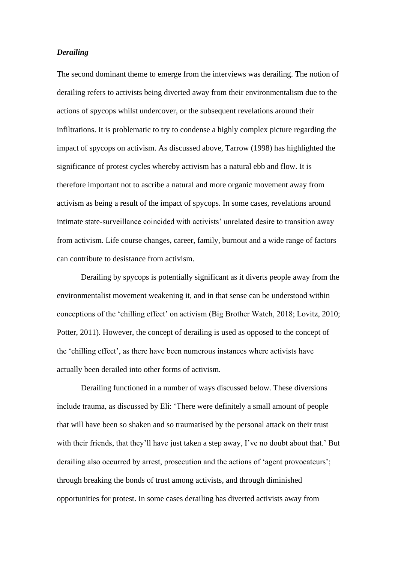# *Derailing*

The second dominant theme to emerge from the interviews was derailing. The notion of derailing refers to activists being diverted away from their environmentalism due to the actions of spycops whilst undercover, or the subsequent revelations around their infiltrations. It is problematic to try to condense a highly complex picture regarding the impact of spycops on activism. As discussed above, Tarrow (1998) has highlighted the significance of protest cycles whereby activism has a natural ebb and flow. It is therefore important not to ascribe a natural and more organic movement away from activism as being a result of the impact of spycops. In some cases, revelations around intimate state-surveillance coincided with activists' unrelated desire to transition away from activism. Life course changes, career, family, burnout and a wide range of factors can contribute to desistance from activism.

Derailing by spycops is potentially significant as it diverts people away from the environmentalist movement weakening it, and in that sense can be understood within conceptions of the 'chilling effect' on activism (Big Brother Watch, 2018; Lovitz, 2010; Potter, 2011). However, the concept of derailing is used as opposed to the concept of the 'chilling effect', as there have been numerous instances where activists have actually been derailed into other forms of activism.

Derailing functioned in a number of ways discussed below. These diversions include trauma, as discussed by Eli: 'There were definitely a small amount of people that will have been so shaken and so traumatised by the personal attack on their trust with their friends, that they'll have just taken a step away, I've no doubt about that.' But derailing also occurred by arrest, prosecution and the actions of 'agent provocateurs'; through breaking the bonds of trust among activists, and through diminished opportunities for protest. In some cases derailing has diverted activists away from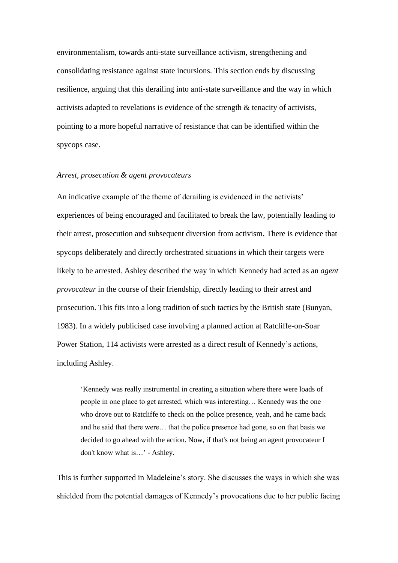environmentalism, towards anti-state surveillance activism, strengthening and consolidating resistance against state incursions. This section ends by discussing resilience, arguing that this derailing into anti-state surveillance and the way in which activists adapted to revelations is evidence of the strength & tenacity of activists, pointing to a more hopeful narrative of resistance that can be identified within the spycops case.

#### *Arrest, prosecution & agent provocateurs*

An indicative example of the theme of derailing is evidenced in the activists' experiences of being encouraged and facilitated to break the law, potentially leading to their arrest, prosecution and subsequent diversion from activism. There is evidence that spycops deliberately and directly orchestrated situations in which their targets were likely to be arrested. Ashley described the way in which Kennedy had acted as an *agent provocateur* in the course of their friendship, directly leading to their arrest and prosecution. This fits into a long tradition of such tactics by the British state (Bunyan, 1983). In a widely publicised case involving a planned action at Ratcliffe-on-Soar Power Station, 114 activists were arrested as a direct result of Kennedy's actions, including Ashley.

'Kennedy was really instrumental in creating a situation where there were loads of people in one place to get arrested, which was interesting… Kennedy was the one who drove out to Ratcliffe to check on the police presence, yeah, and he came back and he said that there were… that the police presence had gone, so on that basis we decided to go ahead with the action. Now, if that's not being an agent provocateur I don't know what is…' - Ashley.

This is further supported in Madeleine's story. She discusses the ways in which she was shielded from the potential damages of Kennedy's provocations due to her public facing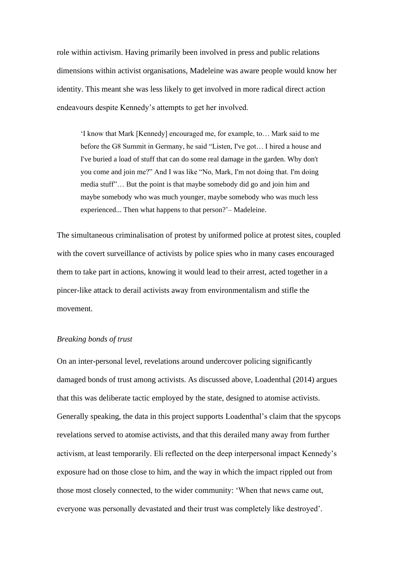role within activism. Having primarily been involved in press and public relations dimensions within activist organisations, Madeleine was aware people would know her identity. This meant she was less likely to get involved in more radical direct action endeavours despite Kennedy's attempts to get her involved.

'I know that Mark [Kennedy] encouraged me, for example, to… Mark said to me before the G8 Summit in Germany, he said "Listen, I've got… I hired a house and I've buried a load of stuff that can do some real damage in the garden. Why don't you come and join me?" And I was like "No, Mark, I'm not doing that. I'm doing media stuff"… But the point is that maybe somebody did go and join him and maybe somebody who was much younger, maybe somebody who was much less experienced... Then what happens to that person?'– Madeleine.

The simultaneous criminalisation of protest by uniformed police at protest sites, coupled with the covert surveillance of activists by police spies who in many cases encouraged them to take part in actions, knowing it would lead to their arrest, acted together in a pincer-like attack to derail activists away from environmentalism and stifle the movement.

### *Breaking bonds of trust*

On an inter-personal level, revelations around undercover policing significantly damaged bonds of trust among activists. As discussed above, Loadenthal (2014) argues that this was deliberate tactic employed by the state, designed to atomise activists. Generally speaking, the data in this project supports Loadenthal's claim that the spycops revelations served to atomise activists, and that this derailed many away from further activism, at least temporarily. Eli reflected on the deep interpersonal impact Kennedy's exposure had on those close to him, and the way in which the impact rippled out from those most closely connected, to the wider community: 'When that news came out, everyone was personally devastated and their trust was completely like destroyed'*.*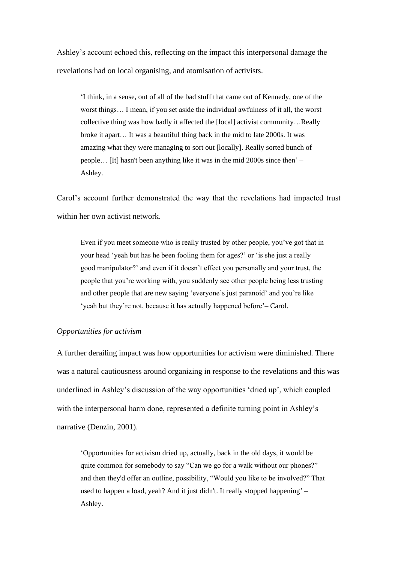Ashley's account echoed this, reflecting on the impact this interpersonal damage the revelations had on local organising, and atomisation of activists.

'I think, in a sense, out of all of the bad stuff that came out of Kennedy, one of the worst things… I mean, if you set aside the individual awfulness of it all, the worst collective thing was how badly it affected the [local] activist community…Really broke it apart… It was a beautiful thing back in the mid to late 2000s. It was amazing what they were managing to sort out [locally]. Really sorted bunch of people… [It] hasn't been anything like it was in the mid 2000s since then' – Ashley.

Carol's account further demonstrated the way that the revelations had impacted trust within her own activist network.

Even if you meet someone who is really trusted by other people, you've got that in your head 'yeah but has he been fooling them for ages?' or 'is she just a really good manipulator?' and even if it doesn't effect you personally and your trust, the people that you're working with, you suddenly see other people being less trusting and other people that are new saying 'everyone's just paranoid' and you're like 'yeah but they're not, because it has actually happened before'– Carol.

#### *Opportunities for activism*

A further derailing impact was how opportunities for activism were diminished. There was a natural cautiousness around organizing in response to the revelations and this was underlined in Ashley's discussion of the way opportunities 'dried up', which coupled with the interpersonal harm done, represented a definite turning point in Ashley's narrative (Denzin, 2001).

'Opportunities for activism dried up, actually, back in the old days, it would be quite common for somebody to say "Can we go for a walk without our phones?" and then they'd offer an outline, possibility, "Would you like to be involved?" That used to happen a load, yeah? And it just didn't. It really stopped happening' – Ashley.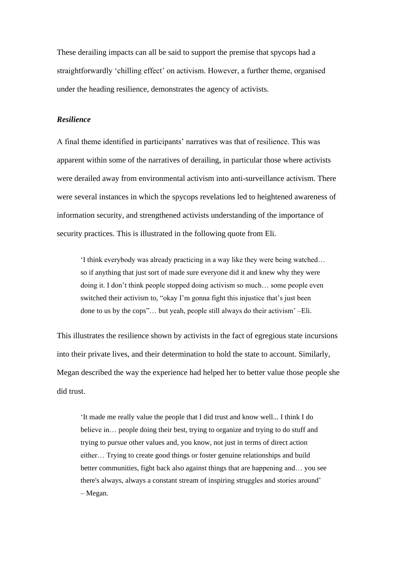These derailing impacts can all be said to support the premise that spycops had a straightforwardly 'chilling effect' on activism. However, a further theme, organised under the heading resilience, demonstrates the agency of activists.

# *Resilience*

A final theme identified in participants' narratives was that of resilience. This was apparent within some of the narratives of derailing, in particular those where activists were derailed away from environmental activism into anti-surveillance activism. There were several instances in which the spycops revelations led to heightened awareness of information security, and strengthened activists understanding of the importance of security practices. This is illustrated in the following quote from Eli.

'I think everybody was already practicing in a way like they were being watched… so if anything that just sort of made sure everyone did it and knew why they were doing it. I don't think people stopped doing activism so much… some people even switched their activism to, "okay I'm gonna fight this injustice that's just been done to us by the cops"… but yeah, people still always do their activism' –Eli.

This illustrates the resilience shown by activists in the fact of egregious state incursions into their private lives, and their determination to hold the state to account. Similarly, Megan described the way the experience had helped her to better value those people she did trust.

'It made me really value the people that I did trust and know well... I think I do believe in... people doing their best, trying to organize and trying to do stuff and trying to pursue other values and, you know, not just in terms of direct action either… Trying to create good things or foster genuine relationships and build better communities, fight back also against things that are happening and… you see there's always, always a constant stream of inspiring struggles and stories around' – Megan.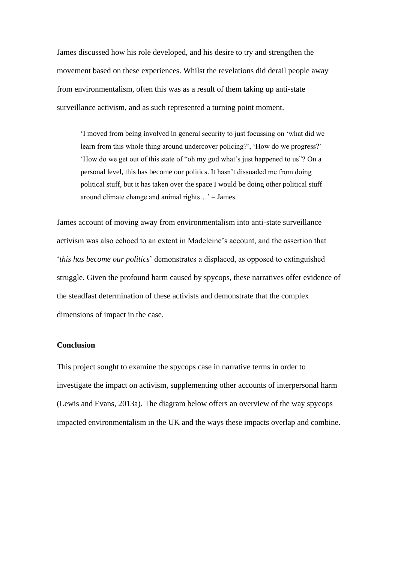James discussed how his role developed, and his desire to try and strengthen the movement based on these experiences. Whilst the revelations did derail people away from environmentalism, often this was as a result of them taking up anti-state surveillance activism, and as such represented a turning point moment.

'I moved from being involved in general security to just focussing on 'what did we learn from this whole thing around undercover policing?', 'How do we progress?' 'How do we get out of this state of "oh my god what's just happened to us"? On a personal level, this has become our politics. It hasn't dissuaded me from doing political stuff, but it has taken over the space I would be doing other political stuff around climate change and animal rights…' – James.

James account of moving away from environmentalism into anti-state surveillance activism was also echoed to an extent in Madeleine's account, and the assertion that '*this has become our politics*' demonstrates a displaced, as opposed to extinguished struggle. Given the profound harm caused by spycops, these narratives offer evidence of the steadfast determination of these activists and demonstrate that the complex dimensions of impact in the case.

## **Conclusion**

This project sought to examine the spycops case in narrative terms in order to investigate the impact on activism, supplementing other accounts of interpersonal harm (Lewis and Evans, 2013a). The diagram below offers an overview of the way spycops impacted environmentalism in the UK and the ways these impacts overlap and combine.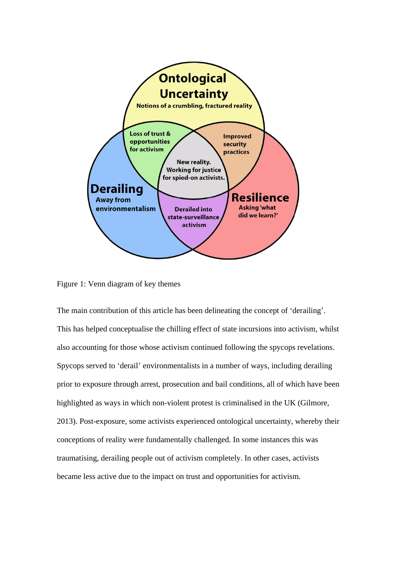

Figure 1: Venn diagram of key themes

The main contribution of this article has been delineating the concept of 'derailing'. This has helped conceptualise the chilling effect of state incursions into activism, whilst also accounting for those whose activism continued following the spycops revelations. Spycops served to 'derail' environmentalists in a number of ways, including derailing prior to exposure through arrest, prosecution and bail conditions, all of which have been highlighted as ways in which non-violent protest is criminalised in the UK (Gilmore, 2013). Post-exposure, some activists experienced ontological uncertainty, whereby their conceptions of reality were fundamentally challenged. In some instances this was traumatising, derailing people out of activism completely. In other cases, activists became less active due to the impact on trust and opportunities for activism.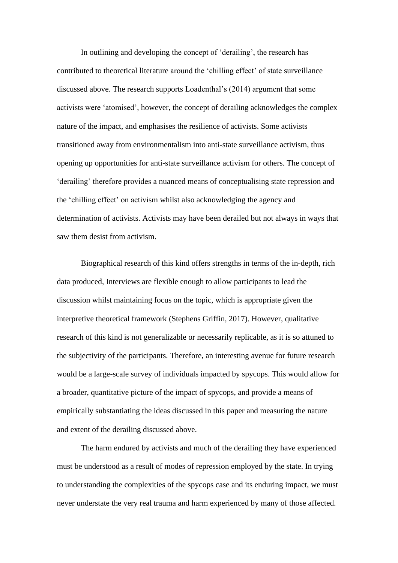In outlining and developing the concept of 'derailing', the research has contributed to theoretical literature around the 'chilling effect' of state surveillance discussed above. The research supports Loadenthal's (2014) argument that some activists were 'atomised', however, the concept of derailing acknowledges the complex nature of the impact, and emphasises the resilience of activists. Some activists transitioned away from environmentalism into anti-state surveillance activism, thus opening up opportunities for anti-state surveillance activism for others. The concept of 'derailing' therefore provides a nuanced means of conceptualising state repression and the 'chilling effect' on activism whilst also acknowledging the agency and determination of activists. Activists may have been derailed but not always in ways that saw them desist from activism.

Biographical research of this kind offers strengths in terms of the in-depth, rich data produced, Interviews are flexible enough to allow participants to lead the discussion whilst maintaining focus on the topic, which is appropriate given the interpretive theoretical framework (Stephens Griffin, 2017). However, qualitative research of this kind is not generalizable or necessarily replicable, as it is so attuned to the subjectivity of the participants. Therefore, an interesting avenue for future research would be a large-scale survey of individuals impacted by spycops. This would allow for a broader, quantitative picture of the impact of spycops, and provide a means of empirically substantiating the ideas discussed in this paper and measuring the nature and extent of the derailing discussed above.

The harm endured by activists and much of the derailing they have experienced must be understood as a result of modes of repression employed by the state. In trying to understanding the complexities of the spycops case and its enduring impact, we must never understate the very real trauma and harm experienced by many of those affected.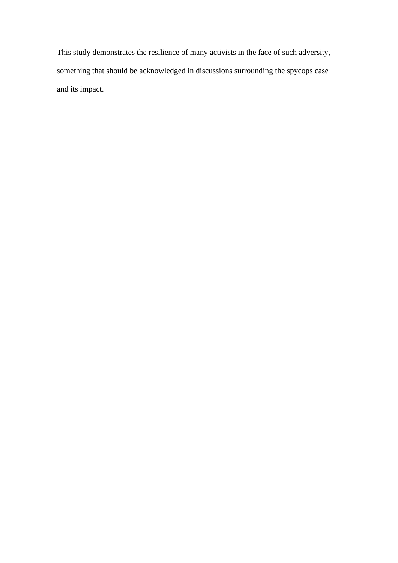This study demonstrates the resilience of many activists in the face of such adversity, something that should be acknowledged in discussions surrounding the spycops case and its impact.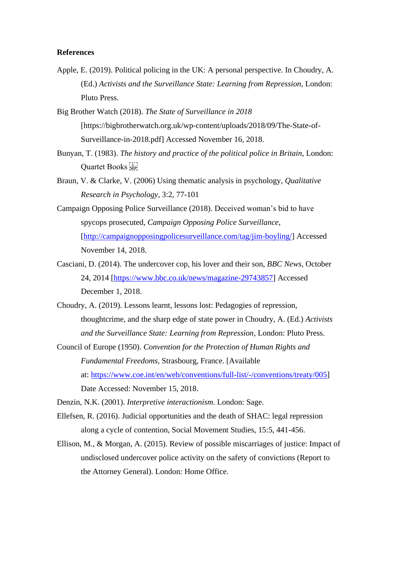#### **References**

- Apple, E. (2019). Political policing in the UK: A personal perspective. In Choudry, A. (Ed.) *Activists and the Surveillance State: Learning from Repression*, London: Pluto Press.
- Big Brother Watch (2018). *The State of Surveillance in 2018* [https://bigbrotherwatch.org.uk/wp-content/uploads/2018/09/The-State-of-Surveillance-in-2018.pdf] Accessed November 16, 2018.
- Bunyan, T. (1983). *The history and practice of the political police in Britain*, London: Quartet Books
- Braun, V. & Clarke, V. (2006) Using thematic analysis in psychology, *Qualitative Research in Psychology*, 3:2, 77-101
- Campaign Opposing Police Surveillance (2018). Deceived woman's bid to have spycops prosecuted, *Campaign Opposing Police Surveillance*, [\[http://campaignopposingpolicesurveillance.com/tag/jim-boyling/\]](http://campaignopposingpolicesurveillance.com/tag/jim-boyling/) Accessed November 14, 2018.
- Casciani, D. (2014). The undercover cop, his lover and their son, *BBC News*, October 24, 2014 [\[https://www.bbc.co.uk/news/magazine-29743857\]](https://www.bbc.co.uk/news/magazine-29743857) Accessed December 1, 2018.
- Choudry, A. (2019). Lessons learnt, lessons lost: Pedagogies of repression, thoughtcrime, and the sharp edge of state power in Choudry, A. (Ed.) *Activists and the Surveillance State: Learning from Repression*, London: Pluto Press.
- Council of Europe (1950). *Convention for the Protection of Human Rights and Fundamental Freedoms*, Strasbourg, France. [Available at: [https://www.coe.int/en/web/conventions/full-list/-/conventions/treaty/005\]](https://www.coe.int/en/web/conventions/full-list/-/conventions/treaty/005) Date Accessed: November 15, 2018.

Denzin, N.K. (2001). *Interpretive interactionism*. London: Sage.

- Ellefsen, R. (2016). Judicial opportunities and the death of SHAC: legal repression along a cycle of contention, Social Movement Studies, 15:5, 441-456.
- Ellison, M., & Morgan, A. (2015). Review of possible miscarriages of justice: Impact of undisclosed undercover police activity on the safety of convictions (Report to the Attorney General). London: Home Office.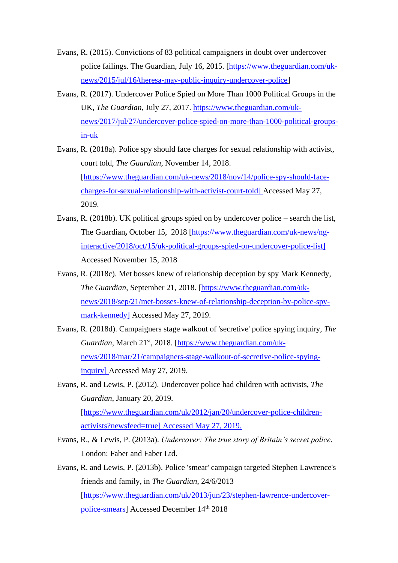- Evans, R. (2015). Convictions of 83 political campaigners in doubt over undercover police failings. The Guardian, July 16, 2015. [\[https://www.theguardian.com/uk](https://www.theguardian.com/uk-news/2015/jul/16/theresa-may-public-inquiry-undercover-police)[news/2015/jul/16/theresa-may-public-inquiry-undercover-police\]](https://www.theguardian.com/uk-news/2015/jul/16/theresa-may-public-inquiry-undercover-police)
- Evans, R. (2017). Undercover Police Spied on More Than 1000 Political Groups in the UK, *The Guardian*, July 27, 2017. [https://www.theguardian.com/uk](https://www.theguardian.com/uk-news/2017/jul/27/undercover-police-spied-on-more-than-1000-political-groups-in-uk)[news/2017/jul/27/undercover-police-spied-on-more-than-1000-political-groups](https://www.theguardian.com/uk-news/2017/jul/27/undercover-police-spied-on-more-than-1000-political-groups-in-uk)[in-uk](https://www.theguardian.com/uk-news/2017/jul/27/undercover-police-spied-on-more-than-1000-political-groups-in-uk)
- Evans, R. (2018a). Police spy should face charges for sexual relationship with activist, court told, *The Guardian*, November 14, 2018. [\[https://www.theguardian.com/uk-news/2018/nov/14/police-spy-should-face](https://www.theguardian.com/uk-news/2018/nov/14/police-spy-should-face-charges-for-sexual-relationship-with-activist-court-told)[charges-for-sexual-relationship-with-activist-court-told\]](https://www.theguardian.com/uk-news/2018/nov/14/police-spy-should-face-charges-for-sexual-relationship-with-activist-court-told) Accessed May 27, 2019.
- Evans, R. (2018b). UK political groups spied on by undercover police search the list, The Guardian**,** October 15, 2018 [\[https://www.theguardian.com/uk-news/ng](https://www.theguardian.com/uk-news/ng-interactive/2018/oct/15/uk-political-groups-spied-on-undercover-police-list)[interactive/2018/oct/15/uk-political-groups-spied-on-undercover-police-list\]](https://www.theguardian.com/uk-news/ng-interactive/2018/oct/15/uk-political-groups-spied-on-undercover-police-list) Accessed November 15, 2018
- Evans, R. (2018c). Met bosses knew of relationship deception by spy Mark Kennedy, *The Guardian*, September 21, 2018. [\[https://www.theguardian.com/uk](https://www.theguardian.com/uk-news/2018/sep/21/met-bosses-knew-of-relationship-deception-by-police-spy-mark-kennedy)[news/2018/sep/21/met-bosses-knew-of-relationship-deception-by-police-spy](https://www.theguardian.com/uk-news/2018/sep/21/met-bosses-knew-of-relationship-deception-by-police-spy-mark-kennedy)[mark-kennedy\]](https://www.theguardian.com/uk-news/2018/sep/21/met-bosses-knew-of-relationship-deception-by-police-spy-mark-kennedy) Accessed May 27, 2019.
- Evans, R. (2018d). Campaigners stage walkout of 'secretive' police spying inquiry, *The*  Guardian, March 21<sup>st</sup>, 2018. [\[https://www.theguardian.com/uk](https://www.theguardian.com/uk-news/2018/mar/21/campaigners-stage-walkout-of-secretive-police-spying-inquiry)[news/2018/mar/21/campaigners-stage-walkout-of-secretive-police-spying](https://www.theguardian.com/uk-news/2018/mar/21/campaigners-stage-walkout-of-secretive-police-spying-inquiry)[inquiry\]](https://www.theguardian.com/uk-news/2018/mar/21/campaigners-stage-walkout-of-secretive-police-spying-inquiry) Accessed May 27, 2019.
- Evans, R. and Lewis, P. (2012). Undercover police had children with activists, *The Guardian*, January 20, 2019. [\[https://www.theguardian.com/uk/2012/jan/20/undercover-police-children](https://www.theguardian.com/uk/2012/jan/20/undercover-police-children-activists?newsfeed=true)[activists?newsfeed=true\]](https://www.theguardian.com/uk/2012/jan/20/undercover-police-children-activists?newsfeed=true) Accessed May 27, 2019.
- Evans, R., & Lewis, P. (2013a). *Undercover: The true story of Britain's secret police*. London: Faber and Faber Ltd.
- Evans, R. and Lewis, P. (2013b). Police 'smear' campaign targeted Stephen Lawrence's friends and family, in *The Guardian*, 24/6/2013 [\[https://www.theguardian.com/uk/2013/jun/23/stephen-lawrence-undercover](https://www.theguardian.com/uk/2013/jun/23/stephen-lawrence-undercover-police-smears)[police-smears\]](https://www.theguardian.com/uk/2013/jun/23/stephen-lawrence-undercover-police-smears) Accessed December 14<sup>th</sup> 2018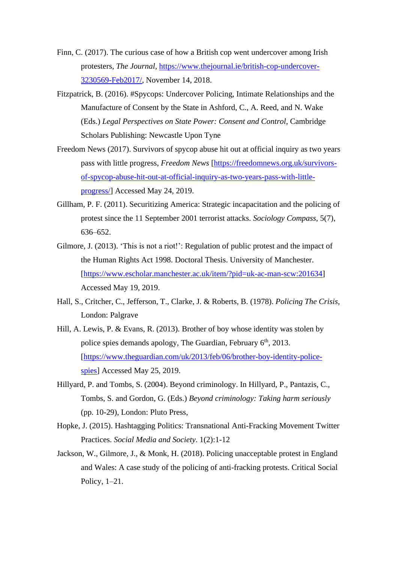- Finn, C. (2017). The curious case of how a British cop went undercover among Irish protesters, *The Journal*, [https://www.thejournal.ie/british-cop-undercover-](https://www.thejournal.ie/british-cop-undercover-3230569-Feb2017/)[3230569-Feb2017/,](https://www.thejournal.ie/british-cop-undercover-3230569-Feb2017/) November 14, 2018.
- Fitzpatrick, B. (2016). #Spycops: Undercover Policing, Intimate Relationships and the Manufacture of Consent by the State in Ashford, C., A. Reed, and N. Wake (Eds.) *Legal Perspectives on State Power: Consent and Control*, Cambridge Scholars Publishing: Newcastle Upon Tyne
- Freedom News (2017). Survivors of spycop abuse hit out at official inquiry as two years pass with little progress, *Freedom News* [\[https://freedomnews.org.uk/survivors](https://freedomnews.org.uk/survivors-of-spycop-abuse-hit-out-at-official-inquiry-as-two-years-pass-with-little-progress/)[of-spycop-abuse-hit-out-at-official-inquiry-as-two-years-pass-with-little](https://freedomnews.org.uk/survivors-of-spycop-abuse-hit-out-at-official-inquiry-as-two-years-pass-with-little-progress/)[progress/\]](https://freedomnews.org.uk/survivors-of-spycop-abuse-hit-out-at-official-inquiry-as-two-years-pass-with-little-progress/) Accessed May 24, 2019.
- Gillham, P. F. (2011). Securitizing America: Strategic incapacitation and the policing of protest since the 11 September 2001 terrorist attacks. *Sociology Compass*, 5(7), 636–652.
- Gilmore, J. (2013). 'This is not a riot!': Regulation of public protest and the impact of the Human Rights Act 1998. Doctoral Thesis. University of Manchester. [\[https://www.escholar.manchester.ac.uk/item/?pid=uk-ac-man-scw:201634\]](https://www.escholar.manchester.ac.uk/item/?pid=uk-ac-man-scw:201634%5d%0d) Accessed May 19, 2019.
- Hall, S., Critcher, C., Jefferson, T., Clarke, J. & Roberts, B. (1978). *Policing The Crisis*, London: Palgrave
- Hill, A. Lewis, P. & Evans, R. (2013). Brother of boy whose identity was stolen by police spies demands apology, The Guardian, February 6<sup>th</sup>, 2013. [\[https://www.theguardian.com/uk/2013/feb/06/brother-boy-identity-police](https://www.theguardian.com/uk/2013/feb/06/brother-boy-identity-police-spies)[spies\]](https://www.theguardian.com/uk/2013/feb/06/brother-boy-identity-police-spies) Accessed May 25, 2019.
- Hillyard, P. and Tombs, S. (2004). Beyond criminology. In Hillyard, P., Pantazis, C., Tombs, S. and Gordon, G. (Eds.) *Beyond criminology: Taking harm seriously*  (pp. 10-29), London: Pluto Press,
- Hopke, J. (2015). Hashtagging Politics: Transnational Anti-Fracking Movement Twitter Practices. *Social Media and Society*. 1(2):1-12
- Jackson, W., Gilmore, J., & Monk, H. (2018). Policing unacceptable protest in England and Wales: A case study of the policing of anti-fracking protests. Critical Social Policy, 1–21.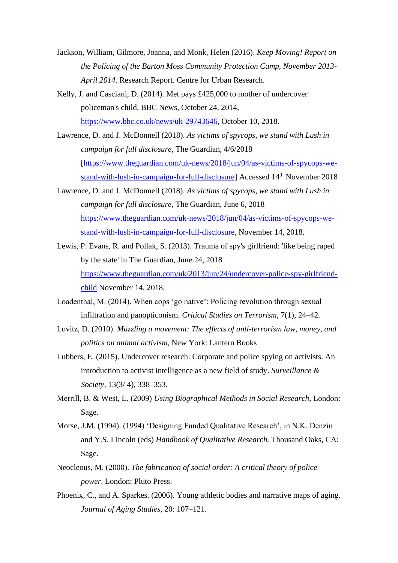- Jackson, William, Gilmore, Joanna, and Monk, Helen (2016). *Keep Moving! Report on the Policing of the Barton Moss Community Protection Camp, November 2013- April 2014*. Research Report. Centre for Urban Research.
- Kelly, J. and Casciani, D. (2014). Met pays £425,000 to mother of undercover policeman's child, BBC News, October 24, 2014, [https://www.bbc.co.uk/news/uk-29743646,](https://www.bbc.co.uk/news/uk-29743646) October 10, 2018.
- Lawrence, D. and J. McDonnell (2018). *As victims of spycops, we stand with Lush in campaign for full disclosure*, The Guardian, 4/6/2018 [\[https://www.theguardian.com/uk-news/2018/jun/04/as-victims-of-spycops-we](https://www.theguardian.com/uk-news/2018/jun/04/as-victims-of-spycops-we-stand-with-lush-in-campaign-for-full-disclosure)[stand-with-lush-in-campaign-for-full-disclosure\]](https://www.theguardian.com/uk-news/2018/jun/04/as-victims-of-spycops-we-stand-with-lush-in-campaign-for-full-disclosure) Accessed 14<sup>th</sup> November 2018
- Lawrence, D. and J. McDonnell (2018). *As victims of spycops, we stand with Lush in campaign for full disclosure*, The Guardian, June 6, 2018 [https://www.theguardian.com/uk-news/2018/jun/04/as-victims-of-spycops-we](https://www.theguardian.com/uk-news/2018/jun/04/as-victims-of-spycops-we-stand-with-lush-in-campaign-for-full-disclosure)[stand-with-lush-in-campaign-for-full-disclosure,](https://www.theguardian.com/uk-news/2018/jun/04/as-victims-of-spycops-we-stand-with-lush-in-campaign-for-full-disclosure) November 14, 2018.
- Lewis, P. Evans, R. and Pollak, S. (2013). Trauma of spy's girlfriend: 'like being raped by the state' in The Guardian, June 24, 2018 [https://www.theguardian.com/uk/2013/jun/24/undercover-police-spy-girlfriend](https://www.theguardian.com/uk/2013/jun/24/undercover-police-spy-girlfriend-child)[child](https://www.theguardian.com/uk/2013/jun/24/undercover-police-spy-girlfriend-child) November 14, 2018.
- Loadenthal, M. (2014). When cops 'go native': Policing revolution through sexual infiltration and panopticonism. *Critical Studies on Terrorism*, 7(1), 24–42.
- Lovitz, D. (2010). *Muzzling a movement: The effects of anti-terrorism law, money, and politics on animal activism*, New York: Lantern Books
- Lubbers, E. (2015). Undercover research: Corporate and police spying on activists. An introduction to activist intelligence as a new field of study. *Surveillance & Society*, 13(3/ 4), 338–353.
- Merrill, B. & West, L. (2009) *Using Biographical Methods in Social Research*, London: Sage.
- Morse, J.M. (1994). (1994) 'Designing Funded Qualitative Research', in N.K. Denzin and Y.S. Lincoln (eds) *Handbook of Qualitative Research.* Thousand Oaks, CA: Sage.
- Neocleous, M. (2000). *The fabrication of social order: A critical theory of police power*. London: Pluto Press.
- Phoenix, C., and A. Sparkes. (2006). Young athletic bodies and narrative maps of aging. *Journal of Aging Studies*, 20: 107–121.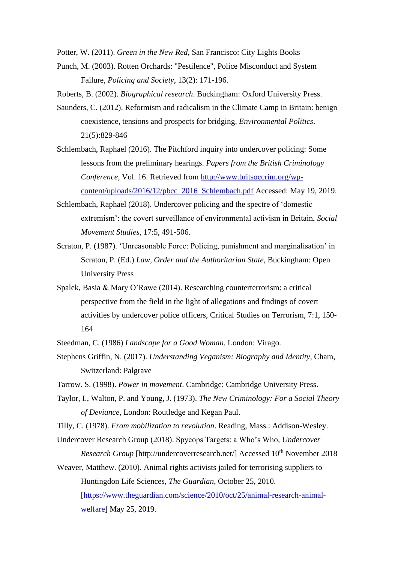Potter, W. (2011). *Green in the New Red*, San Francisco: City Lights Books

Punch, M. (2003). Rotten Orchards: "Pestilence", Police Misconduct and System Failure, *Policing and Society*, 13(2): 171-196.

Roberts, B. (2002). *Biographical research*. Buckingham: Oxford University Press.

- Saunders, C. (2012). Reformism and radicalism in the Climate Camp in Britain: benign coexistence, tensions and prospects for bridging. *Environmental Politics*. 21(5):829-846
- Schlembach, Raphael (2016). The Pitchford inquiry into undercover policing: Some lessons from the preliminary hearings. *Papers from the British Criminology Conference*, Vol. 16. Retrieved from [http://www.britsoccrim.org/wp](http://www.britsoccrim.org/wp-content/uploads/2016/12/pbcc_2016_Schlembach.pdf)[content/uploads/2016/12/pbcc\\_2016\\_Schlembach.pdf](http://www.britsoccrim.org/wp-content/uploads/2016/12/pbcc_2016_Schlembach.pdf) Accessed: May 19, 2019.
- Schlembach, Raphael (2018). Undercover policing and the spectre of 'domestic extremism': the covert surveillance of environmental activism in Britain, *Social Movement Studies*, 17:5, 491-506.
- Scraton, P. (1987). 'Unreasonable Force: Policing, punishment and marginalisation' in Scraton, P. (Ed.) *Law, Order and the Authoritarian State*, Buckingham: Open University Press
- Spalek, Basia & Mary O'Rawe (2014). Researching counterterrorism: a critical perspective from the field in the light of allegations and findings of covert activities by undercover police officers, Critical Studies on Terrorism, 7:1, 150- 164
- Steedman, C. (1986) *Landscape for a Good Woman.* London: Virago.
- Stephens Griffin, N. (2017). *Understanding Veganism: Biography and Identity*, Cham, Switzerland: Palgrave
- Tarrow. S. (1998). *Power in movement*. Cambridge: Cambridge University Press.
- Taylor, I., Walton, P. and Young, J. (1973). *The New Criminology: For a Social Theory of Deviance*, London: Routledge and Kegan Paul.
- Tilly, C. (1978). *From mobilization to revolution*. Reading, Mass.: Addison-Wesley.
- Undercover Research Group (2018). Spycops Targets: a Who's Who, *Undercover Research Group* [http://undercoverresearch.net/] Accessed 10<sup>th</sup> November 2018
- Weaver, Matthew. (2010). Animal rights activists jailed for terrorising suppliers to Huntingdon Life Sciences, *The Guardian*, October 25, 2010. [\[https://www.theguardian.com/science/2010/oct/25/animal-research-animal](https://www.theguardian.com/science/2010/oct/25/animal-research-animal-welfare)[welfare\]](https://www.theguardian.com/science/2010/oct/25/animal-research-animal-welfare) May 25, 2019.